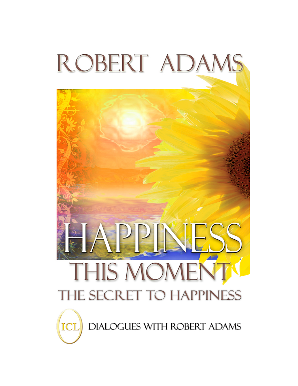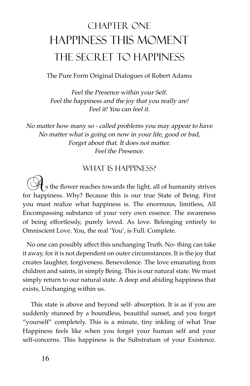## CHAPTER ONE Happiness This Moment THE SECRET TO HAPPINESS

The Pure Form Original Dialogues of Robert Adams

Feel the Presence within your Self. Feel the happiness and the joy that you really are! Feel it! You can feel it.

No matter how many so - called problems you may appear to have No matter what is going on now in your life, good or bad, Forget about that. It does not matter. Feel the Presence.

## WHAT IS HAPPINESS?

 $\cdot$  s the flower reaches towards the light, all of humanity strives for happiness. Why? Because this is our true State of Being. First you must realize what happiness is. The enormous, limitless, All Encompassing substance of your very own essence. The awareness of being effortlessly, purely loved. As love. Belonging entirely to Omniscient Love. You, the real 'You', is Full. Complete.

 No one can possibly affect this unchanging Truth. No- thing can take it away, for it is not dependent on outer circumstances. It is the joy that creates laughter, forgiveness. Benevolence. The love emanating from children and saints, in simply Being. This is our natural state. We must simply return to our natural state. A deep and abiding happiness that exists, Unchanging within us.

 This state is above and beyond self- absorption. It is as if you are suddenly stunned by a boundless, beautiful sunset, and you forget "yourself" completely. This is a minute, tiny inkling of what True Happiness feels like when you forget your human self and your self-concerns. This happiness is the Substratum of your Existence.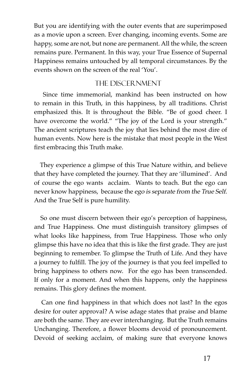But you are identifying with the outer events that are superimposed as a movie upon a screen. Ever changing, incoming events. Some are happy, some are not, but none are permanent. All the while, the screen remains pure. Permanent. In this way, your True Essence of Supernal Happiness remains untouched by all temporal circumstances. By the events shown on the screen of the real 'You'.

#### The Discernment

 Since time immemorial, mankind has been instructed on how to remain in this Truth, in this happiness, by all traditions. Christ emphasized this. It is throughout the Bible. "Be of good cheer. I have overcome the world." "The joy of the Lord is your strength." The ancient scriptures teach the joy that lies behind the most dire of human events. Now here is the mistake that most people in the West first embracing this Truth make.

 They experience a glimpse of this True Nature within, and believe that they have completed the journey. That they are 'illumined'. And of course the ego wants acclaim. Wants to teach. But the ego can never know happiness, because the ego is separate from the True Self. And the True Self is pure humility.

 So one must discern between their ego's perception of happiness, and True Happiness. One must distinguish transitory glimpses of what looks like happiness, from True Happiness. Those who only glimpse this have no idea that this is like the frst grade. They are just beginning to remember. To glimpse the Truth of Life. And they have a journey to fulfll. The joy of the journey is that you feel impelled to bring happiness to others now. For the ego has been transcended. If only for a moment. And when this happens, only the happiness remains. This glory defnes the moment.

 Can one fnd happiness in that which does not last? In the egos desire for outer approval? A wise adage states that praise and blame are both the same. They are ever interchanging. But the Truth remains Unchanging. Therefore, a flower blooms devoid of pronouncement. Devoid of seeking acclaim, of making sure that everyone knows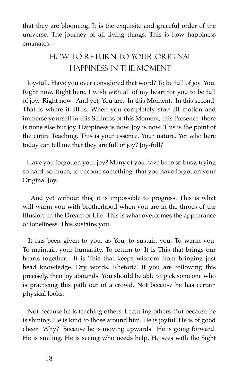that they are blooming. It is the exquisite and graceful order of the universe. The journey of all living things. This is how happiness emanates.

## How to Return to Your Original Happiness in the Moment

 Joy-full. Have you ever considered that word? To be full of joy. You. Right now. Right here. I wish with all of my heart for you to be full of joy. Right now. And yet, You are. In this Moment. In this second. That is where it all is. When you completely stop all motion and immerse yourself in this Stillness of this Moment, this Presence, there is none else but joy. Happiness is now. Joy is now. This is the point of the entire Teaching. This is your essence. Your nature. Yet who here today can tell me that they are full of joy? Joy-full?

 Have you forgotten your joy? Many of you have been so busy, trying so hard, so much, to become something, that you have forgotten your Original Joy.

 And yet without this, it is impossible to progress. This is what will warm you with brotherhood when you are in the throes of the Illusion. In the Dream of Life. This is what overcomes the appearance of loneliness. This sustains you.

 It has been given to you, as You, to sustain you. To warm you. To maintain your humanity. To return to. It is This that brings our hearts together. It is This that keeps wisdom from bringing just head knowledge. Dry words. Rhetoric. If you are following this precisely, then joy abounds. You should be able to pick someone who is practicing this path out of a crowd. Not because he has certain physical looks.

 Not because he is teaching others. Lecturing others. But because he is shining. He is kind to those around him. He is joyful. He is of good cheer. Why? Because he is moving upwards. He is going forward. He is smiling. He is seeing who needs help. He sees with the Sight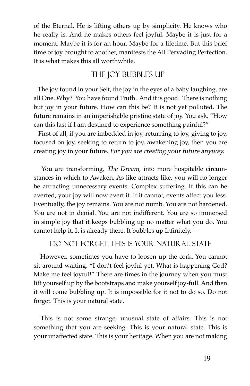of the Eternal. He is lifting others up by simplicity. He knows who he really is. And he makes others feel joyful. Maybe it is just for a moment. Maybe it is for an hour. Maybe for a lifetime. But this brief time of joy brought to another, manifests the All Pervading Perfection. It is what makes this all worthwhile.

## THE JOY BUBBLES UP

 The joy found in your Self, the joy in the eyes of a baby laughing, are all One. Why? You have found Truth. And it is good. There is nothing but joy in your future. How can this be? It is not yet polluted. The future remains in an imperishable pristine state of joy. You ask, "How can this last if I am destined to experience something painful?"

 First of all, if you are imbedded in joy, returning to joy, giving to joy, focused on joy, seeking to return to joy, awakening joy, then you are creating joy in your future. For you are creating your future anyway.

 You are transforming, The Dream, into more hospitable circumstances in which to Awaken. As like attracts like, you will no longer be attracting unnecessary events. Complex suffering. If this can be averted, your joy will now avert it. If it cannot, events affect you less. Eventually, the joy remains. You are not numb. You are not hardened. You are not in denial. You are not indifferent. You are so immersed in simple joy that it keeps bubbling up no matter what you do. You cannot help it. It is already there. It bubbles up Infnitely.

#### Do Not Forget. This is Your Natural State

 However, sometimes you have to loosen up the cork. You cannot sit around waiting. "I don't feel joyful yet. What is happening God? Make me feel joyful!" There are times in the journey when you must lift yourself up by the bootstraps and make yourself joy-full. And then it will come bubbling up. It is impossible for it not to do so. Do not forget. This is your natural state.

 This is not some strange, unusual state of affairs. This is not something that you are seeking. This is your natural state. This is your unaffected state. This is your heritage. When you are not making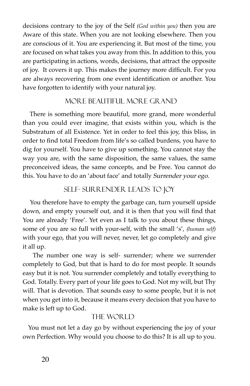decisions contrary to the joy of the Self *(God within you)* then you are Aware of this state. When you are not looking elsewhere. Then you are conscious of it. You are experiencing it. But most of the time, you are focused on what takes you away from this. In addition to this, you are participating in actions, words, decisions, that attract the opposite of joy. It covers it up. This makes the journey more difficult. For you are always recovering from one event identifcation or another. You have forgotten to identify with your natural joy.

## More Beautiful more Grand

 There is something more beautiful, more grand, more wonderful than you could ever imagine, that exists within you, which is the Substratum of all Existence. Yet in order to feel this joy, this bliss, in order to fnd total Freedom from life's so called burdens, you have to dig for yourself. You have to give up something. You cannot stay the way you are, with the same disposition, the same values, the same preconceived ideas, the same concepts, and be Free. You cannot do this. You have to do an 'about face' and totally Surrender your ego.

## Self- Surrender Leads to Joy

 You therefore have to empty the garbage can, turn yourself upside down, and empty yourself out, and it is then that you will find that You are already 'Free'. Yet even as I talk to you about these things, some of you are so full with your-self, with the small 's', *(human self)*  with your ego, that you will never, never, let go completely and give it all up.

 The number one way is self- surrender; where we surrender completely to God, but that is hard to do for most people. It sounds easy but it is not. You surrender completely and totally everything to God. Totally. Every part of your life goes to God. Not my will, but Thy will. That is devotion. That sounds easy to some people, but it is not when you get into it, because it means every decision that you have to make is left up to God.

#### THE WORLD

 You must not let a day go by without experiencing the joy of your own Perfection. Why would you choose to do this? It is all up to you.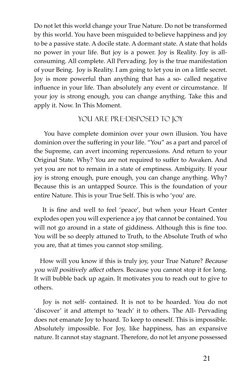Do not let this world change your True Nature. Do not be transformed by this world. You have been misguided to believe happiness and joy to be a passive state. A docile state. A dormant state. A state that holds no power in your life. But joy is a power. Joy is Reality. Joy is allconsuming. All complete. All Pervading. Joy is the true manifestation of your Being. Joy is Reality. I am going to let you in on a little secret. Joy is more powerful than anything that has a so- called negative infuence in your life. Than absolutely any event or circumstance. If your joy is strong enough, you can change anything. Take this and apply it. Now. In This Moment.

### YOU ARE PRE-DISPOSED TO JOY

 You have complete dominion over your own illusion. You have dominion over the suffering in your life. "You" as a part and parcel of the Supreme, can avert incoming repercussions. And return to your Original State. Why? You are not required to suffer to Awaken. And yet you are not to remain in a state of emptiness. Ambiguity. If your joy is strong enough, pure enough, you can change anything. Why? Because this is an untapped Source. This is the foundation of your entire Nature. This is your True Self. This is who 'you' are.

 It is fne and well to feel 'peace', but when your Heart Center explodes open you will experience a joy that cannot be contained. You will not go around in a state of giddiness. Although this is fine too. You will be so deeply attuned to Truth, to the Absolute Truth of who you are, that at times you cannot stop smiling.

 How will you know if this is truly joy, your True Nature? Because you will positively affect others. Because you cannot stop it for long. It will bubble back up again. It motivates you to reach out to give to others.

 Joy is not self- contained. It is not to be hoarded. You do not 'discover' it and attempt to 'teach' it to others. The All- Pervading does not emanate Joy to hoard. To keep to oneself. This is impossible. Absolutely impossible. For Joy, like happiness, has an expansive nature. It cannot stay stagnant. Therefore, do not let anyone possessed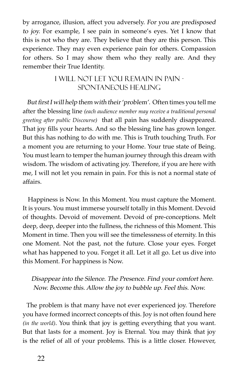by arrogance, illusion, affect you adversely. For you are predisposed to joy. For example, I see pain in someone's eyes. Yet I know that this is not who they are. They believe that they are this person. This experience. They may even experience pain for others. Compassion for others. So I may show them who they really are. And they remember their True Identity.

#### I Will Not Let You Remain In Pain - Spontaneous healing

But first I will help them with their 'problem'. Often times you tell me after the blessing line *(each audience member may receive a traditional personal greeting after public Discourse)* that all pain has suddenly disappeared. That joy fills your hearts. And so the blessing line has grown longer. But this has nothing to do with me. This is Truth touching Truth. For a moment you are returning to your Home. Your true state of Being. You must learn to temper the human journey through this dream with wisdom. The wisdom of activating joy. Therefore, if you are here with me, I will not let you remain in pain. For this is not a normal state of affairs.

 Happiness is Now. In this Moment. You must capture the Moment. It is yours. You must immerse yourself totally in this Moment. Devoid of thoughts. Devoid of movement. Devoid of pre-conceptions. Melt deep, deep, deeper into the fullness, the richness of this Moment. This Moment in time. Then you will see the timelessness of eternity. In this one Moment. Not the past, not the future. Close your eyes. Forget what has happened to you. Forget it all. Let it all go. Let us dive into this Moment. For happiness is Now.

#### Disappear into the Silence. The Presence. Find your comfort here. Now. Become this. Allow the joy to bubble up. Feel this. Now.

 The problem is that many have not ever experienced joy. Therefore you have formed incorrect concepts of this. Joy is not often found here *(in the world)*. You think that joy is getting everything that you want. But that lasts for a moment. Joy is Eternal. You may think that joy is the relief of all of your problems. This is a little closer. However,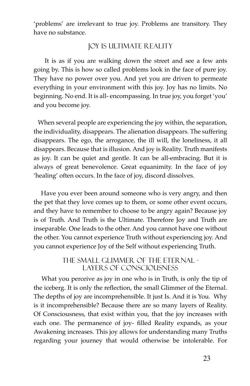'problems' are irrelevant to true joy. Problems are transitory. They have no substance.

#### Joy is Ultimate Reality

 It is as if you are walking down the street and see a few ants going by. This is how so called problems look in the face of pure joy. They have no power over you. And yet you are driven to permeate everything in your environment with this joy. Joy has no limits. No beginning. No end. It is all- encompassing. In true joy, you forget 'you' and you become joy.

 When several people are experiencing the joy within, the separation, the individuality, disappears. The alienation disappears. The suffering disappears. The ego, the arrogance, the ill will, the loneliness, it all disappears. Because that is illusion. And joy is Reality. Truth manifests as joy. It can be quiet and gentle. It can be all-embracing. But it is always of great benevolence. Great equanimity. In the face of joy 'healing' often occurs. In the face of joy, discord dissolves.

 Have you ever been around someone who is very angry, and then the pet that they love comes up to them, or some other event occurs, and they have to remember to choose to be angry again? Because joy is of Truth. And Truth is the Ultimate. Therefore Joy and Truth are inseparable. One leads to the other. And you cannot have one without the other. You cannot experience Truth without experiencing joy. And you cannot experience Joy of the Self without experiencing Truth.

#### The Small Glimmer of the Eternal layers of consciousness

 What you perceive as joy in one who is in Truth, is only the tip of the iceberg. It is only the refection, the small Glimmer of the Eternal. The depths of joy are incomprehensible. It just Is. And it is You. Why is it incomprehensible? Because there are so many layers of Reality. Of Consciousness, that exist within you, that the joy increases with each one. The permanence of joy- flled Reality expands, as your Awakening increases. This joy allows for understanding many Truths regarding your journey that would otherwise be intolerable. For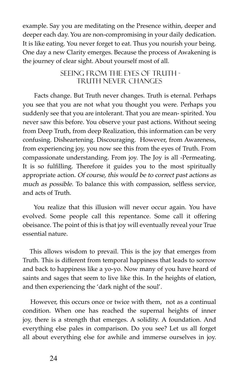example. Say you are meditating on the Presence within, deeper and deeper each day. You are non-compromising in your daily dedication. It is like eating. You never forget to eat. Thus you nourish your being. One day a new Clarity emerges. Because the process of Awakening is the journey of clear sight. About yourself most of all.

#### Seeing From the Eyes of Truth truth never changes

 Facts change. But Truth never changes. Truth is eternal. Perhaps you see that you are not what you thought you were. Perhaps you suddenly see that you are intolerant. That you are mean- spirited. You never saw this before. You observe your past actions. Without seeing from Deep Truth, from deep Realization, this information can be very confusing. Disheartening. Discouraging. However, from Awareness, from experiencing joy, you now see this from the eyes of Truth. From compassionate understanding. From joy. The Joy is all -Permeating. It is so fulflling. Therefore it guides you to the most spiritually appropriate action. Of course, this would be to correct past actions as much as possible. To balance this with compassion, selfless service, and acts of Truth.

 You realize that this illusion will never occur again. You have evolved. Some people call this repentance. Some call it offering obeisance. The point of this is that joy will eventually reveal your True essential nature.

 This allows wisdom to prevail. This is the joy that emerges from Truth. This is different from temporal happiness that leads to sorrow and back to happiness like a yo-yo. Now many of you have heard of saints and sages that seem to live like this. In the heights of elation, and then experiencing the 'dark night of the soul'.

 However, this occurs once or twice with them, not as a continual condition. When one has reached the supernal heights of inner joy, there is a strength that emerges. A solidity. A foundation. And everything else pales in comparison. Do you see? Let us all forget all about everything else for awhile and immerse ourselves in joy.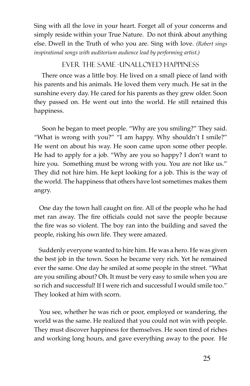Sing with all the love in your heart. Forget all of your concerns and simply reside within your True Nature. Do not think about anything else. Dwell in the Truth of who you are. Sing with love. *(Robert sings inspirational songs with auditorium audience lead by performing artist.)* 

#### Ever the Same -unalloyed happiness

 There once was a little boy. He lived on a small piece of land with his parents and his animals. He loved them very much. He sat in the sunshine every day. He cared for his parents as they grew older. Soon they passed on. He went out into the world. He still retained this happiness.

 Soon he began to meet people. "Why are you smiling?" They said. "What is wrong with you?" "I am happy. Why shouldn't I smile?" He went on about his way. He soon came upon some other people. He had to apply for a job. "Why are you so happy? I don't want to hire you. Something must be wrong with you. You are not like us." They did not hire him. He kept looking for a job. This is the way of the world. The happiness that others have lost sometimes makes them angry.

 One day the town hall caught on fre. All of the people who he had met ran away. The fire officials could not save the people because the fre was so violent. The boy ran into the building and saved the people, risking his own life. They were amazed.

 Suddenly everyone wanted to hire him. He was a hero. He was given the best job in the town. Soon he became very rich. Yet he remained ever the same. One day he smiled at some people in the street. "What are you smiling about? Oh. It must be very easy to smile when you are so rich and successful! If I were rich and successful I would smile too." They looked at him with scorn.

 You see, whether he was rich or poor, employed or wandering, the world was the same. He realized that you could not win with people. They must discover happiness for themselves. He soon tired of riches and working long hours, and gave everything away to the poor. He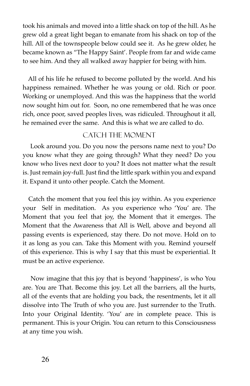took his animals and moved into a little shack on top of the hill. As he grew old a great light began to emanate from his shack on top of the hill. All of the townspeople below could see it. As he grew older, he became known as "The Happy Saint'. People from far and wide came to see him. And they all walked away happier for being with him.

 All of his life he refused to become polluted by the world. And his happiness remained. Whether he was young or old. Rich or poor. Working or unemployed. And this was the happiness that the world now sought him out for. Soon, no one remembered that he was once rich, once poor, saved peoples lives, was ridiculed. Throughout it all, he remained ever the same. And this is what we are called to do.

#### CATCH THE MOMENT

 Look around you. Do you now the persons name next to you? Do you know what they are going through? What they need? Do you know who lives next door to you? It does not matter what the result is. Just remain joy-full. Just fnd the little spark within you and expand it. Expand it unto other people. Catch the Moment.

 Catch the moment that you feel this joy within. As you experience your Self in meditation. As you experience who 'You' are. The Moment that you feel that joy, the Moment that it emerges. The Moment that the Awareness that All is Well, above and beyond all passing events is experienced, stay there. Do not move. Hold on to it as long as you can. Take this Moment with you. Remind yourself of this experience. This is why I say that this must be experiential. It must be an active experience.

 Now imagine that this joy that is beyond 'happiness', is who You are. You are That. Become this joy. Let all the barriers, all the hurts, all of the events that are holding you back, the resentments, let it all dissolve into The Truth of who you are. Just surrender to the Truth. Into your Original Identity. 'You' are in complete peace. This is permanent. This is your Origin. You can return to this Consciousness at any time you wish.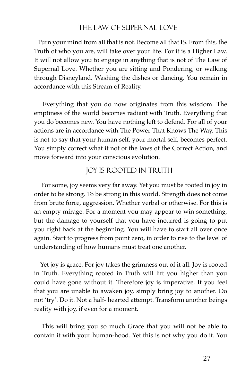#### The Law of Supernal Love

 Turn your mind from all that is not. Become all that IS. From this, the Truth of who you are, will take over your life. For it is a Higher Law. It will not allow you to engage in anything that is not of The Law of Supernal Love. Whether you are sitting and Pondering, or walking through Disneyland. Washing the dishes or dancing. You remain in accordance with this Stream of Reality.

 Everything that you do now originates from this wisdom. The emptiness of the world becomes radiant with Truth. Everything that you do becomes new. You have nothing left to defend. For all of your actions are in accordance with The Power That Knows The Way. This is not to say that your human self, your mortal self, becomes perfect. You simply correct what it not of the laws of the Correct Action, and move forward into your conscious evolution.

#### Joy is Rooted in Truth

 For some, joy seems very far away. Yet you must be rooted in joy in order to be strong. To be strong in this world. Strength does not come from brute force, aggression. Whether verbal or otherwise. For this is an empty mirage. For a moment you may appear to win something, but the damage to yourself that you have incurred is going to put you right back at the beginning. You will have to start all over once again. Start to progress from point zero, in order to rise to the level of understanding of how humans must treat one another.

 Yet joy is grace. For joy takes the grimness out of it all. Joy is rooted in Truth. Everything rooted in Truth will lift you higher than you could have gone without it. Therefore joy is imperative. If you feel that you are unable to awaken joy, simply bring joy to another. Do not 'try'. Do it. Not a half- hearted attempt. Transform another beings reality with joy, if even for a moment.

 This will bring you so much Grace that you will not be able to contain it with your human-hood. Yet this is not why you do it. You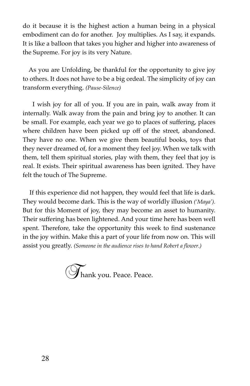do it because it is the highest action a human being in a physical embodiment can do for another. Joy multiplies. As I say, it expands. It is like a balloon that takes you higher and higher into awareness of the Supreme. For joy is its very Nature.

 As you are Unfolding, be thankful for the opportunity to give joy to others. It does not have to be a big ordeal. The simplicity of joy can transform everything. *(Pause-Silence)*

 I wish joy for all of you. If you are in pain, walk away from it internally. Walk away from the pain and bring joy to another. It can be small. For example, each year we go to places of suffering, places where children have been picked up off of the street, abandoned. They have no one. When we give them beautiful books, toys that they never dreamed of, for a moment they feel joy. When we talk with them, tell them spiritual stories, play with them, they feel that joy is real. It exists. Their spiritual awareness has been ignited. They have felt the touch of The Supreme.

 If this experience did not happen, they would feel that life is dark. They would become dark. This is the way of worldly illusion *('Maya').* But for this Moment of joy, they may become an asset to humanity. Their suffering has been lightened. And your time here has been well spent. Therefore, take the opportunity this week to find sustenance in the joy within. Make this a part of your life from now on. This will assist you greatly. *(Someone in the audience rises to hand Robert a fower.)*

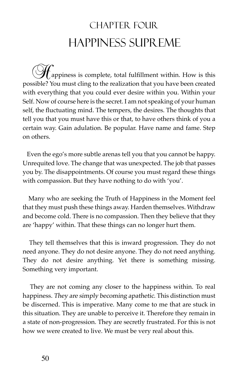# CHAPTER FOUR Happiness Supreme

appiness is complete, total fulfillment within. How is this possible? You must cling to the realization that you have been created with everything that you could ever desire within you. Within your Self. Now of course here is the secret. I am not speaking of your human self, the fuctuating mind. The tempers, the desires. The thoughts that tell you that you must have this or that, to have others think of you a certain way. Gain adulation. Be popular. Have name and fame. Step on others.

 Even the ego's more subtle arenas tell you that you cannot be happy. Unrequited love. The change that was unexpected. The job that passes you by. The disappointments. Of course you must regard these things with compassion. But they have nothing to do with 'you'.

 Many who are seeking the Truth of Happiness in the Moment feel that they must push these things away. Harden themselves. Withdraw and become cold. There is no compassion. Then they believe that they are 'happy' within. That these things can no longer hurt them.

 They tell themselves that this is inward progression. They do not need anyone. They do not desire anyone. They do not need anything. They do not desire anything. Yet there is something missing. Something very important.

 They are not coming any closer to the happiness within. To real happiness. They are simply becoming apathetic. This distinction must be discerned. This is imperative. Many come to me that are stuck in this situation. They are unable to perceive it. Therefore they remain in a state of non-progression. They are secretly frustrated. For this is not how we were created to live. We must be very real about this.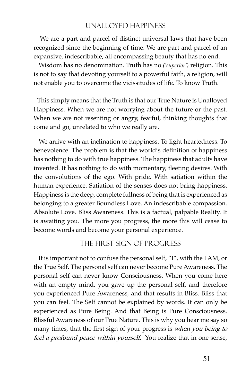#### Unalloyed Happiness

 We are a part and parcel of distinct universal laws that have been recognized since the beginning of time. We are part and parcel of an expansive, indescribable, all encompassing beauty that has no end.

 Wisdom has no denomination. Truth has no *('superior')* religion. This is not to say that devoting yourself to a powerful faith, a religion, will not enable you to overcome the vicissitudes of life. To know Truth.

 This simply means that the Truth is that our True Nature is Unalloyed Happiness. When we are not worrying about the future or the past. When we are not resenting or angry, fearful, thinking thoughts that come and go, unrelated to who we really are.

 We arrive with an inclination to happiness. To light heartedness. To benevolence. The problem is that the world's definition of happiness has nothing to do with true happiness. The happiness that adults have invented. It has nothing to do with momentary, feeting desires. With the convolutions of the ego. With pride. With satiation within the human experience. Satiation of the senses does not bring happiness. Happiness is the deep, complete fullness of being that is experienced as belonging to a greater Boundless Love. An indescribable compassion. Absolute Love. Bliss Awareness. This is a factual, palpable Reality. It is awaiting you. The more you progress, the more this will cease to become words and become your personal experience.

#### The First Sign of Progress

 It is important not to confuse the personal self, "I", with the I AM, or the True Self. The personal self can never become Pure Awareness. The personal self can never know Consciousness. When you come here with an empty mind, you gave up the personal self, and therefore you experienced Pure Awareness, and that results in Bliss. Bliss that you can feel. The Self cannot be explained by words. It can only be experienced as Pure Being. And that Being is Pure Consciousness. Blissful Awareness of our True Nature. This is why you hear me say so many times, that the first sign of your progress is when you being to feel a profound peace within yourself. You realize that in one sense,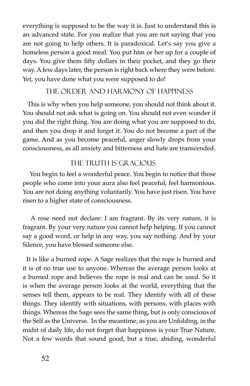everything is supposed to be the way it is. Just to understand this is an advanced state. For you realize that you are not saying that you are not going to help others. It is paradoxical. Let's say you give a homeless person a good meal. You put him or her up for a couple of days. You give them fifty dollars in their pocket, and they go their way. A few days later, the person is right back where they were before. Yet, you have done what you were supposed to do!

#### THE ORDER AND HARMONY OF HAPPINESS

 This is why when you help someone, you should not think about it. You should not ask what is going on. You should not even wonder if you did the right thing. You are doing what you are supposed to do, and then you drop it and forget it. You do not become a part of the game. And as you become peaceful, anger slowly drops from your consciousness, as all anxiety and bitterness and hate are transcended.

#### The Truth is Gracious

 You begin to feel a wonderful peace. You begin to notice that those people who come into your aura also feel peaceful, feel harmonious. You are not doing anything voluntarily. You have just risen. You have risen to a higher state of consciousness.

 A rose need not declare: I am fragrant. By its very nature, it is fragrant. By your very nature you cannot help helping. If you cannot say a good word, or help in any way, you say nothing. And by your Silence, you have blessed someone else.

 It is like a burned rope. A Sage realizes that the rope is burned and it is of no true use to anyone. Whereas the average person looks at a burned rope and believes the rope is real and can be used. So it is when the average person looks at the world, everything that the senses tell them, appears to be real. They identify with all of these things. They identify with situations, with persons, with places with things. Whereas the Sage sees the same thing, but is only conscious of the Self as the Universe. In the meantime, as you are Unfolding, in the midst of daily life, do not forget that happiness is your True Nature. Not a few words that sound good, but a true, abiding, wonderful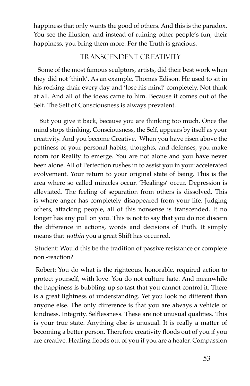happiness that only wants the good of others. And this is the paradox. You see the illusion, and instead of ruining other people's fun, their happiness, you bring them more. For the Truth is gracious.

## Transcendent Creativity

 Some of the most famous sculptors, artists, did their best work when they did not 'think'. As an example, Thomas Edison. He used to sit in his rocking chair every day and 'lose his mind' completely. Not think at all. And all of the ideas came to him. Because it comes out of the Self. The Self of Consciousness is always prevalent.

 But you give it back, because you are thinking too much. Once the mind stops thinking, Consciousness, the Self, appears by itself as your creativity. And you become Creative. When you have risen above the pettiness of your personal habits, thoughts, and defenses, you make room for Reality to emerge. You are not alone and you have never been alone. All of Perfection rushes in to assist you in your accelerated evolvement. Your return to your original state of being. This is the area where so called miracles occur. 'Healings' occur. Depression is alleviated. The feeling of separation from others is dissolved. This is where anger has completely disappeared from your life. Judging others, attacking people, all of this nonsense is transcended. It no longer has any pull on you. This is not to say that you do not discern the difference in actions, words and decisions of Truth. It simply means that within you a great Shift has occurred.

 Student: Would this be the tradition of passive resistance or complete non -reaction?

 Robert: You do what is the righteous, honorable, required action to protect yourself, with love. You do not culture hate. And meanwhile the happiness is bubbling up so fast that you cannot control it. There is a great lightness of understanding. Yet you look no different than anyone else. The only difference is that you are always a vehicle of kindness. Integrity. Selfessness. These are not unusual qualities. This is your true state. Anything else is unusual. It is really a matter of becoming a better person. Therefore creativity floods out of you if you are creative. Healing floods out of you if you are a healer. Compassion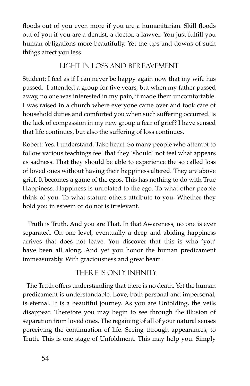floods out of you even more if you are a humanitarian. Skill floods out of you if you are a dentist, a doctor, a lawyer. You just fulfll you human obligations more beautifully. Yet the ups and downs of such things affect you less.

### Light in Loss and Bereavement

Student: I feel as if I can never be happy again now that my wife has passed. I attended a group for five years, but when my father passed away, no one was interested in my pain, it made them uncomfortable. I was raised in a church where everyone came over and took care of household duties and comforted you when such suffering occurred. Is the lack of compassion in my new group a fear of grief? I have sensed that life continues, but also the suffering of loss continues.

Robert: Yes. I understand. Take heart. So many people who attempt to follow various teachings feel that they 'should' not feel what appears as sadness. That they should be able to experience the so called loss of loved ones without having their happiness altered. They are above grief. It becomes a game of the egos. This has nothing to do with True Happiness. Happiness is unrelated to the ego. To what other people think of you. To what stature others attribute to you. Whether they hold you in esteem or do not is irrelevant.

 Truth is Truth. And you are That. In that Awareness, no one is ever separated. On one level, eventually a deep and abiding happiness arrives that does not leave. You discover that this is who 'you' have been all along. And yet you honor the human predicament immeasurably. With graciousness and great heart.

## There is Only Infnity

 The Truth offers understanding that there is no death. Yet the human predicament is understandable. Love, both personal and impersonal, is eternal. It is a beautiful journey. As you are Unfolding, the veils disappear. Therefore you may begin to see through the illusion of separation from loved ones. The regaining of all of your natural senses perceiving the continuation of life. Seeing through appearances, to Truth. This is one stage of Unfoldment. This may help you. Simply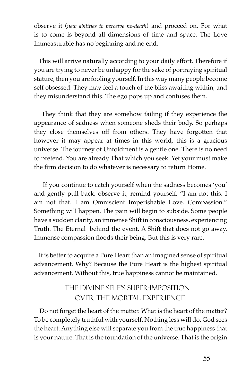observe it (*new abilities to perceive no-death*) and proceed on. For what is to come is beyond all dimensions of time and space. The Love Immeasurable has no beginning and no end.

 This will arrive naturally according to your daily effort. Therefore if you are trying to never be unhappy for the sake of portraying spiritual stature, then you are fooling yourself, In this way many people become self obsessed. They may feel a touch of the bliss awaiting within, and they misunderstand this. The ego pops up and confuses them.

 They think that they are somehow failing if they experience the appearance of sadness when someone sheds their body. So perhaps they close themselves off from others. They have forgotten that however it may appear at times in this world, this is a gracious universe. The journey of Unfoldment is a gentle one. There is no need to pretend. You are already That which you seek. Yet your must make the frm decision to do whatever is necessary to return Home.

 If you continue to catch yourself when the sadness becomes 'you' and gently pull back, observe it, remind yourself, "I am not this. I am not that. I am Omniscient Imperishable Love. Compassion." Something will happen. The pain will begin to subside. Some people have a sudden clarity, an immense Shift in consciousness, experiencing Truth. The Eternal behind the event. A Shift that does not go away. Immense compassion floods their being. But this is very rare.

 It is better to acquire a Pure Heart than an imagined sense of spiritual advancement. Why? Because the Pure Heart is the highest spiritual advancement. Without this, true happiness cannot be maintained.

## The Divine Self's Super-Imposition Over The Mortal Experience

 Do not forget the heart of the matter. What is the heart of the matter? To be completely truthful with yourself. Nothing less will do. God sees the heart. Anything else will separate you from the true happiness that is your nature. That is the foundation of the universe. That is the origin